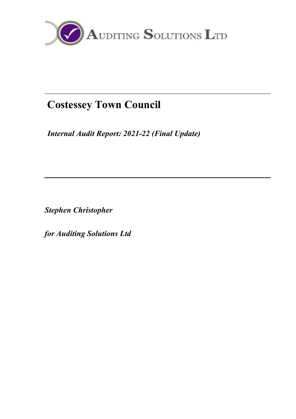

# Costessey Town Council

Internal Audit Report: 2021-22 (Final Update)

Stephen Christopher

for Auditing Solutions Ltd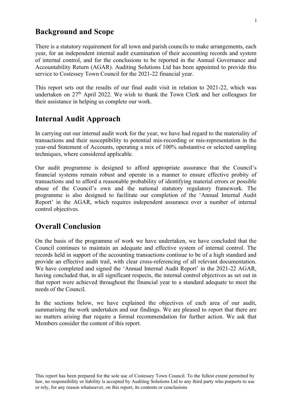### Background and Scope

There is a statutory requirement for all town and parish councils to make arrangements, each year, for an independent internal audit examination of their accounting records and system of internal control, and for the conclusions to be reported in the Annual Governance and Accountability Return (AGAR). Auditing Solutions Ltd has been appointed to provide this service to Costessey Town Council for the 2021-22 financial year.

This report sets out the results of our final audit visit in relation to 2021-22, which was undertaken on 27<sup>th</sup> April 2022. We wish to thank the Town Clerk and her colleagues for their assistance in helping us complete our work.

### Internal Audit Approach

In carrying out our internal audit work for the year, we have had regard to the materiality of transactions and their susceptibility to potential mis-recording or mis-representation in the year-end Statement of Accounts, operating a mix of 100% substantive or selected sampling techniques, where considered applicable.

Our audit programme is designed to afford appropriate assurance that the Council's financial systems remain robust and operate in a manner to ensure effective probity of transactions and to afford a reasonable probability of identifying material errors or possible abuse of the Council's own and the national statutory regulatory framework. The programme is also designed to facilitate our completion of the 'Annual Internal Audit Report' in the AGAR, which requires independent assurance over a number of internal control objectives.

### Overall Conclusion

On the basis of the programme of work we have undertaken, we have concluded that the Council continues to maintain an adequate and effective system of internal control. The records held in support of the accounting transactions continue to be of a high standard and provide an effective audit trail, with clear cross-referencing of all relevant documentation. We have completed and signed the 'Annual Internal Audit Report' in the 2021-22 AGAR, having concluded that, in all significant respects, the internal control objectives as set out in that report were achieved throughout the financial year to a standard adequate to meet the needs of the Council.

In the sections below, we have explained the objectives of each area of our audit, summarising the work undertaken and our findings. We are pleased to report that there are no matters arising that require a formal recommendation for further action. We ask that Members consider the content of this report.

This report has been prepared for the sole use of Costessey Town Council. To the fullest extent permitted by law, no responsibility or liability is accepted by Auditing Solutions Ltd to any third party who purports to use or rely, for any reason whatsoever, on this report, its contents or conclusions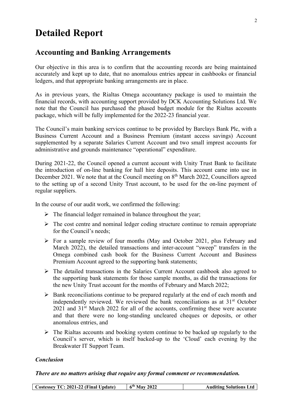## Detailed Report

### Accounting and Banking Arrangements

Our objective in this area is to confirm that the accounting records are being maintained accurately and kept up to date, that no anomalous entries appear in cashbooks or financial ledgers, and that appropriate banking arrangements are in place.

As in previous years, the Rialtas Omega accountancy package is used to maintain the financial records, with accounting support provided by DCK Accounting Solutions Ltd. We note that the Council has purchased the phased budget module for the Rialtas accounts package, which will be fully implemented for the 2022-23 financial year.

The Council's main banking services continue to be provided by Barclays Bank Plc, with a Business Current Account and a Business Premium (instant access savings) Account supplemented by a separate Salaries Current Account and two small imprest accounts for administrative and grounds maintenance "operational" expenditure.

During 2021-22, the Council opened a current account with Unity Trust Bank to facilitate the introduction of on-line banking for hall hire deposits. This account came into use in December 2021. We note that at the Council meeting on 8<sup>th</sup> March 2022, Councillors agreed to the setting up of a second Unity Trust account, to be used for the on-line payment of regular suppliers.

In the course of our audit work, we confirmed the following:

- $\triangleright$  The financial ledger remained in balance throughout the year;
- $\triangleright$  The cost centre and nominal ledger coding structure continue to remain appropriate for the Council's needs;
- $\triangleright$  For a sample review of four months (May and October 2021, plus February and March 2022), the detailed transactions and inter-account "sweep" transfers in the Omega combined cash book for the Business Current Account and Business Premium Account agreed to the supporting bank statements;
- The detailed transactions in the Salaries Current Account cashbook also agreed to the supporting bank statements for those sample months, as did the transactions for the new Unity Trust account for the months of February and March 2022;
- $\triangleright$  Bank reconciliations continue to be prepared regularly at the end of each month and independently reviewed. We reviewed the bank reconciliations as at  $31<sup>st</sup>$  October  $2021$  and  $31<sup>st</sup>$  March 2022 for all of the accounts, confirming these were accurate and that there were no long-standing uncleared cheques or deposits, or other anomalous entries, and
- $\triangleright$  The Rialtas accounts and booking system continue to be backed up regularly to the Council's server, which is itself backed-up to the 'Cloud' each evening by the Breakwater IT Support Team.

#### Conclusion

#### There are no matters arising that require any formal comment or recommendation.

|  | Costessey TC: 2021-22 (Final Update) | $6th$ May 2022 | <b>Auditing Solutions Ltd</b> |
|--|--------------------------------------|----------------|-------------------------------|
|--|--------------------------------------|----------------|-------------------------------|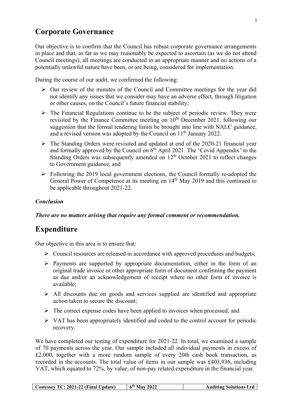### Corporate Governance

Our objective is to confirm that the Council has robust corporate governance arrangements in place and that, as far as we may reasonably be expected to ascertain (as we do not attend Council meetings), all meetings are conducted in an appropriate manner and no actions of a potentially unlawful nature have been, or are being, considered for implementation.

During the course of our audit, we confirmed the following:

- $\triangleright$  Our review of the minutes of the Council and Committee meetings for the year did not identify any issues that we consider may have an adverse effect, through litigation or other causes, on the Council's future financial stability;
- $\triangleright$  The Financial Regulations continue to be the subject of periodic review. They were revisited by the Finance Committee meeting on  $10<sup>th</sup>$  December 2021, following our suggestion that the formal tendering limits be brought into line with NALC guidance, and a revised version was adopted by the Council on 11<sup>th</sup> January 2022.
- The Standing Orders were revisited and updated at end of the 2020-21 financial year and formally approved by the Council on  $6<sup>th</sup>$  April 2021. The 'Covid Appendix' to the Standing Orders was subsequently amended on  $12<sup>th</sup>$  October 2021 to reflect changes to Government guidance, and
- $\triangleright$  Following the 2019 local government elections, the Council formally re-adopted the General Power of Competence at its meeting on 14<sup>th</sup> May 2019 and this continued to be applicable throughout 2021-22.

#### Conclusion

There are no matters arising that require any formal comment or recommendation.

### Expenditure

Our objective in this area is to ensure that:

- $\triangleright$  Council resources are released in accordance with approved procedures and budgets;
- $\triangleright$  Payments are supported by appropriate documentation, either in the form of an original trade invoice or other appropriate form of document confirming the payment as due and/or an acknowledgement of receipt where no other form of invoice is available;
- $\triangleright$  All discounts due on goods and services supplied are identified and appropriate action taken to secure the discount;
- $\triangleright$  The correct expense codes have been applied to invoices when processed; and
- $\triangleright$  VAT has been appropriately identified and coded to the control account for periodic recovery.

We have completed our testing of expenditure for 2021-22. In total, we examined a sample of 70 payments across the year. Our sample included all individual payments in excess of £2,000, together with a more random sample of every 20th cash book transaction, as recorded in the accounts. The total value of items in our sample was £403,936, including VAT, which equated to 72%, by value, of non-pay related expenditure in the financial year.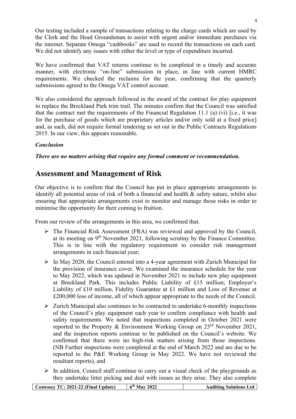Our testing included a sample of transactions relating to the charge cards which are used by the Clerk and the Head Groundsman to assist with urgent and/or immediate purchases via the internet. Separate Omega "cashbooks" are used to record the transactions on each card. We did not identify any issues with either the level or type of expenditure incurred.

We have confirmed that VAT returns continue to be completed in a timely and accurate manner, with electronic "on-line" submission in place, in line with current HMRC requirements. We checked the reclaims for the year, confirming that the quarterly submissions agreed to the Omega VAT control account.

We also considered the approach followed in the award of the contract for play equipment to replace the Breckland Park trim trail. The minutes confirm that the Council was satisfied that the contract met the requirements of the Financial Regulation 11.1 (a) (vi) [i.e., it was for the purchase of goods which are proprietary articles and/or only sold at a fixed price] and, as such, did not require formal tendering as set out in the Public Contracts Regulations 2015. In our view, this appears reasonable.

#### Conclusion

There are no matters arising that require any formal comment or recommendation.

### Assessment and Management of Risk

Our objective is to confirm that the Council has put in place appropriate arrangements to identify all potential areas of risk of both a financial and health & safety nature, whilst also ensuring that appropriate arrangements exist to monitor and manage those risks in order to minimise the opportunity for their coming to fruition.

From our review of the arrangements in this area, we confirmed that.

- The Financial Risk Assessment (FRA) was reviewed and approved by the Council, at its meeting on 9th November 2021, following scrutiny by the Finance Committee. This is in line with the regulatory requirement to consider risk management arrangements in each financial year;
- $\triangleright$  In May 2020, the Council entered into a 4-year agreement with Zurich Municipal for the provision of insurance cover. We examined the insurance schedule for the year to May 2022, which was updated in November 2021 to include new play equipment at Breckland Park. This includes Public Liability of £15 million; Employer's Liability of £10 million, Fidelity Guarantee at £1 million and Loss of Revenue at £200,000 loss of income, all of which appear appropriate to the needs of the Council.
- $\triangleright$  Zurich Municipal also continues to be contracted to undertake 6-monthly inspections of the Council's play equipment each year to confirm compliance with health and safety requirements. We noted that inspections completed in October 2021 were reported to the Property & Environment Working Group on 23<sup>rd</sup> November 2021, and the inspection reports continue to be published on the Council's website. We confirmed that there were no high-risk matters arising from those inspections. (NB Further inspections were completed at the end of March 2022 and are due to be reported to the P&E Working Group in May 2022. We have not reviewed the resultant reports), and
- $\triangleright$  In addition, Council staff continue to carry out a visual check of the playgrounds as they undertake litter picking and deal with issues as they arise. They also complete

|  | Costessey TC: 2021-22 (Final Update) | $6th$ May 2022 | <b>Auditing Solutions Ltd</b> |
|--|--------------------------------------|----------------|-------------------------------|
|--|--------------------------------------|----------------|-------------------------------|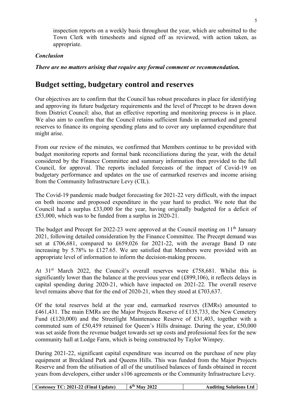inspection reports on a weekly basis throughout the year, which are submitted to the Town Clerk with timesheets and signed off as reviewed, with action taken, as appropriate.

#### Conclusion

There are no matters arising that require any formal comment or recommendation.

### Budget setting, budgetary control and reserves

Our objectives are to confirm that the Council has robust procedures in place for identifying and approving its future budgetary requirements and the level of Precept to be drawn down from District Council: also, that an effective reporting and monitoring process is in place. We also aim to confirm that the Council retains sufficient funds in earmarked and general reserves to finance its ongoing spending plans and to cover any unplanned expenditure that might arise.

From our review of the minutes, we confirmed that Members continue to be provided with budget monitoring reports and formal bank reconciliations during the year, with the detail considered by the Finance Committee and summary information then provided to the full Council, for approval. The reports included forecasts of the impact of Covid-19 on budgetary performance and updates on the use of earmarked reserves and income arising from the Community Infrastructure Levy (CIL).

The Covid-19 pandemic made budget forecasting for 2021-22 very difficult, with the impact on both income and proposed expenditure in the year hard to predict. We note that the Council had a surplus £33,000 for the year, having originally budgeted for a deficit of £53,000, which was to be funded from a surplus in 2020-21.

The budget and Precept for 2022-23 were approved at the Council meeting on 11<sup>th</sup> January 2021, following detailed consideration by the Finance Committee. The Precept demand was set at £706,681, compared to £659,026 for 2021-22, with the average Band D rate increasing by 5.78% to £127.65. We are satisfied that Members were provided with an appropriate level of information to inform the decision-making process.

At 31<sup>st</sup> March 2022, the Council's overall reserves were £758,681. Whilst this is significantly lower than the balance at the previous year end (£899,106), it reflects delays in capital spending during 2020-21, which have impacted on 2021-22. The overall reserve level remains above that for the end of 2020-21, when they stood at £703,637.

Of the total reserves held at the year end, earmarked reserves (EMRs) amounted to £461,431. The main EMRs are the Major Projects Reserve of £135,733, the New Cemetery Fund (£120,000) and the Streetlight Maintenance Reserve of £31,403, together with a commuted sum of £50,459 retained for Queen's Hills drainage. During the year, £50,000 was set aside from the revenue budget towards set up costs and professional fees for the new community hall at Lodge Farm, which is being constructed by Taylor Wimpey.

During 2021-22, significant capital expenditure was incurred on the purchase of new play equipment at Breckland Park and Queens Hills. This was funded from the Major Projects Reserve and from the utilisation of all of the unutilised balances of funds obtained in recent years from developers, either under s106 agreements or the Community Infrastructure Levy.

| Costessey TC: 2021-22 (Final Update) | $6th$ May 2022 | <b>Auditing Solutions Ltd</b> |
|--------------------------------------|----------------|-------------------------------|
|--------------------------------------|----------------|-------------------------------|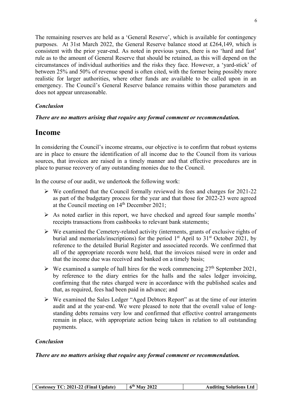The remaining reserves are held as a 'General Reserve', which is available for contingency purposes. At 31st March 2022, the General Reserve balance stood at £264,149, which is consistent with the prior year-end. As noted in previous years, there is no 'hard and fast' rule as to the amount of General Reserve that should be retained, as this will depend on the circumstances of individual authorities and the risks they face. However, a 'yard-stick' of between 25% and 50% of revenue spend is often cited, with the former being possibly more realistic for larger authorities, where other funds are available to be called upon in an emergency. The Council's General Reserve balance remains within those parameters and does not appear unreasonable.

#### Conclusion

#### There are no matters arising that require any formal comment or recommendation.

### Income

In considering the Council's income streams, our objective is to confirm that robust systems are in place to ensure the identification of all income due to the Council from its various sources, that invoices are raised in a timely manner and that effective procedures are in place to pursue recovery of any outstanding monies due to the Council.

In the course of our audit, we undertook the following work:

- $\triangleright$  We confirmed that the Council formally reviewed its fees and charges for 2021-22 as part of the budgetary process for the year and that those for 2022-23 were agreed at the Council meeting on 14th December 2021;
- $\triangleright$  As noted earlier in this report, we have checked and agreed four sample months' receipts transactions from cashbooks to relevant bank statements;
- $\triangleright$  We examined the Cemetery-related activity (interments, grants of exclusive rights of burial and memorials/inscriptions) for the period  $1<sup>st</sup>$  April to  $31<sup>st</sup>$  October 2021, by reference to the detailed Burial Register and associated records. We confirmed that all of the appropriate records were held, that the invoices raised were in order and that the income due was received and banked on a timely basis;
- $\triangleright$  We examined a sample of hall hires for the week commencing 27<sup>th</sup> September 2021, by reference to the diary entries for the halls and the sales ledger invoicing, confirming that the rates charged were in accordance with the published scales and that, as required, fees had been paid in advance; and
- We examined the Sales Ledger "Aged Debtors Report" as at the time of our interim audit and at the year-end. We were pleased to note that the overall value of longstanding debts remains very low and confirmed that effective control arrangements remain in place, with appropriate action being taken in relation to all outstanding payments.

#### Conclusion

There are no matters arising that require any formal comment or recommendation.

| Costessey TC: 2021-22 (Final Update) | $6th$ May 2022 | <b>Auditing Solutions Ltd</b> |
|--------------------------------------|----------------|-------------------------------|
|--------------------------------------|----------------|-------------------------------|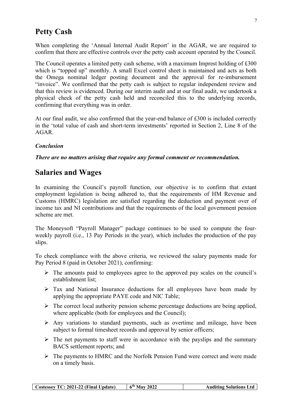### Petty Cash

When completing the 'Annual Internal Audit Report' in the AGAR, we are required to confirm that there are effective controls over the petty cash account operated by the Council.

The Council operates a limited petty cash scheme, with a maximum Imprest holding of £300 which is "topped up" monthly. A small Excel control sheet is maintained and acts as both the Omega nominal ledger posting document and the approval for re-imbursement "invoice". We confirmed that the petty cash is subject to regular independent review and that this review is evidenced. During our interim audit and at our final audit, we undertook a physical check of the petty cash held and reconciled this to the underlying records, confirming that everything was in order.

At our final audit, we also confirmed that the year-end balance of  $\pounds 300$  is included correctly in the 'total value of cash and short-term investments' reported in Section 2, Line 8 of the AGAR.

#### Conclusion

There are no matters arising that require any formal comment or recommendation.

### Salaries and Wages

In examining the Council's payroll function, our objective is to confirm that extant employment legislation is being adhered to, that the requirements of HM Revenue and Customs (HMRC) legislation are satisfied regarding the deduction and payment over of income tax and NI contributions and that the requirements of the local government pension scheme are met.

The Moneysoft "Payroll Manager" package continues to be used to compute the fourweekly payroll (i.e., 13 Pay Periods in the year), which includes the production of the pay slips.

To check compliance with the above criteria, we reviewed the salary payments made for Pay Period 8 (paid in October 2021), confirming:

- $\triangleright$  The amounts paid to employees agree to the approved pay scales on the council's establishment list;
- $\triangleright$  Tax and National Insurance deductions for all employees have been made by applying the appropriate PAYE code and NIC Table;
- $\triangleright$  The correct local authority pension scheme percentage deductions are being applied, where applicable (both for employees and the Council);
- $\triangleright$  Any variations to standard payments, such as overtime and mileage, have been subject to formal timesheet records and approval by senior officers;
- $\triangleright$  The net payments to staff were in accordance with the payslips and the summary BACS settlement reports; and
- $\triangleright$  The payments to HMRC and the Norfolk Pension Fund were correct and were made on a timely basis.

| Costessey TC: 2021-22 (Final Update) | $6th$ May 2022 | <b>Auditing Solutions Ltd</b> |
|--------------------------------------|----------------|-------------------------------|
|--------------------------------------|----------------|-------------------------------|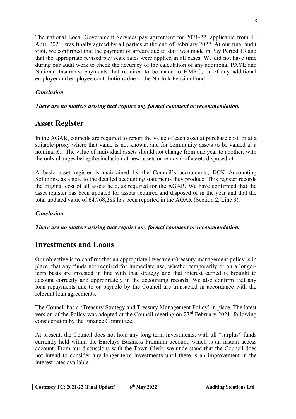The national Local Government Services pay agreement for 2021-22, applicable from 1<sup>st</sup> April 2021, was finally agreed by all parties at the end of February 2022. At our final audit visit, we confirmed that the payment of arrears due to staff was made in Pay Period 13 and that the appropriate revised pay scale rates were applied in all cases. We did not have time during our audit work to check the accuracy of the calculation of any additional PAYE and National Insurance payments that required to be made to HMRC, or of any additional employer and employee contributions due to the Norfolk Pension Fund.

#### Conclusion

#### There are no matters arising that require any formal comment or recommendation.

### Asset Register

In the AGAR, councils are required to report the value of each asset at purchase cost, or at a suitable proxy where that value is not known, and for community assets to be valued at a nominal £1. The value of individual assets should not change from one year to another, with the only changes being the inclusion of new assets or removal of assets disposed of.

A basic asset register is maintained by the Council's accountants, DCK Accounting Solutions, as a note to the detailed accounting statements they produce. This register records the original cost of all assets held, as required for the AGAR. We have confirmed that the asset register has been updated for assets acquired and disposed of in the year and that the total updated value of £4,768,288 has been reported in the AGAR (Section 2, Line 9).

#### Conclusion

There are no matters arising that require any formal comment or recommendation.

### Investments and Loans

Our objective is to confirm that an appropriate investment/treasury management policy is in place, that any funds not required for immediate use, whether temporarily or on a longerterm basis are invested in line with that strategy and that interest earned is brought to account correctly and appropriately in the accounting records. We also confirm that any loan repayments due to or payable by the Council are transacted in accordance with the relevant loan agreements.

The Council has a 'Treasury Strategy and Treasury Management Policy' in place. The latest version of the Policy was adopted at the Council meeting on 23rd February 2021, following consideration by the Finance Committee,

At present, the Council does not hold any long-term investments, with all "surplus" funds currently held within the Barclays Business Premium account, which is an instant access account. From our discussions with the Town Clerk, we understand that the Council does not intend to consider any longer-term investments until there is an improvement in the interest rates available.